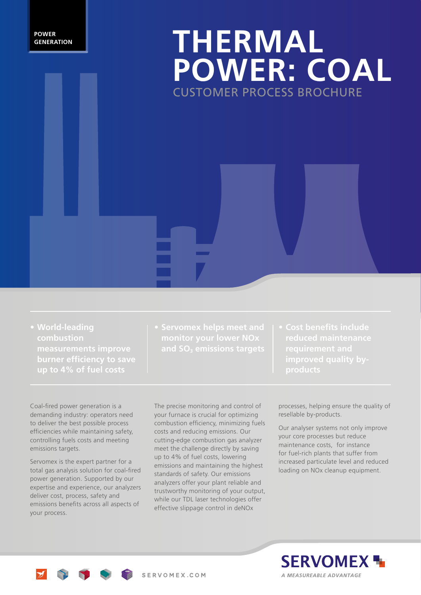#### **POWER GENERATION**

## **THERMAL POWER: COAL** CUSTOMER PROCESS BROCHURE

- **• World-leading combustion up to 4% of fuel costs**
- 
- **reduced maintenance**

Coal-fired power generation is a demanding industry: operators need to deliver the best possible process efficiencies while maintaining safety, controlling fuels costs and meeting emissions targets.

Servomex is the expert partner for a total gas analysis solution for coal-fired power generation. Supported by our expertise and experience, our analyzers deliver cost, process, safety and emissions benefits across all aspects of your process.

The precise monitoring and control of your furnace is crucial for optimizing combustion efficiency, minimizing fuels costs and reducing emissions. Our cutting-edge combustion gas analyzer meet the challenge directly by saving up to 4% of fuel costs, lowering emissions and maintaining the highest standards of safety. Our emissions analyzers offer your plant reliable and trustworthy monitoring of your output, while our TDL laser technologies offer effective slippage control in deNOx

processes, helping ensure the quality of resellable by-products.

Our analyser systems not only improve your core processes but reduce maintenance costs, for instance for fuel-rich plants that suffer from increased particulate level and reduced loading on NOx cleanup equipment.



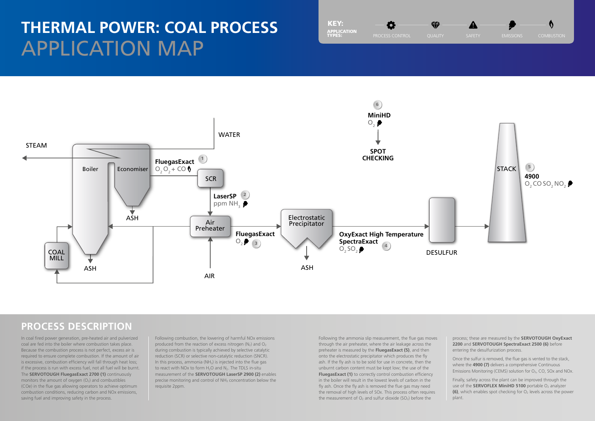Once the sulfur is removed, the flue gas is vented to the stack, where the **4900 (7)** delivers a comprehensive Continuous Emissions Monitoring (CEMS) solution for  $O_2$ , CO, SOx and NOx.

process; these are measured by the **SERVOTOUGH OxyExact 2200** and **SERVOTOUGH SpectraExact 2500 (6)** before entering the desulfurization process.

Finally, safety across the plant can be improved through the use of the **SERVOFLEX MiniHD 5100** portable O<sub>2</sub> analyzer **(6)**, which enables spot checking for O<sub>2</sub> levels across the power plant.

In coal fired power generation, pre-heated air and pulverized coal are fed into the boiler where combustion takes place. Because the combustion process is not perfect, excess air is required to ensure complete combustion. If the amount of air is excessive, combustion efficiency will fall through heat loss; if the process is run with excess fuel, not all fuel will be burnt. The **SERVOTOUGH FluegasExact 2700 (1)** continuously monitors the amount of oxygen  $(O<sub>2</sub>)$  and combustibles (COe) in the flue gas allowing operators to achieve optimum combustion conditions, reducing carbon and NOx emissions, saving fuel and improving safety in the process.

Following combustion, the lowering of harmful NOx emissions produced from the reaction of excess nitrogen  $(N_2)$  and  $O_2$ during combustion is typically achieved by selective catalytic reduction (SCR) or selective non-catalytic reduction (SNCR). In this process, ammonia ( $NH<sub>3</sub>$ ) is injected into the flue gas to react with NOx to form  $H_2O$  and  $N_2$ . The TDLS in-situ measurement of the **SERVOTOUGH LaserSP 2900 (2)** enables precise monitoring and control of NH<sub>3</sub> concentration below the requisite 2ppm.

Following the ammonia slip measurement, the flue gas moves through the air preheater, where the air leakage across the preheater is measured by the **FluegasExact (5)**, and then onto the electrostatic precipitator which produces the fly ash. If the fly ash is to be sold for use in concrete, then the unburnt carbon content must be kept low; the use of the **FluegasExact (1)** to correctly control combustion efficiency in the boiler will result in the lowest levels of carbon in the fly ash. Once the fly ash is removed the flue gas may need the removal of high levels of SOx. This process often requires the measurement of  $O_2$  and sulfur dioxide (SO<sub>2</sub>) before the



₩

# **THERMAL POWER: COAL PROCESS** APPLICATION MAP

### **PROCESS DESCRIPTION**



KEY:

APPLICATION